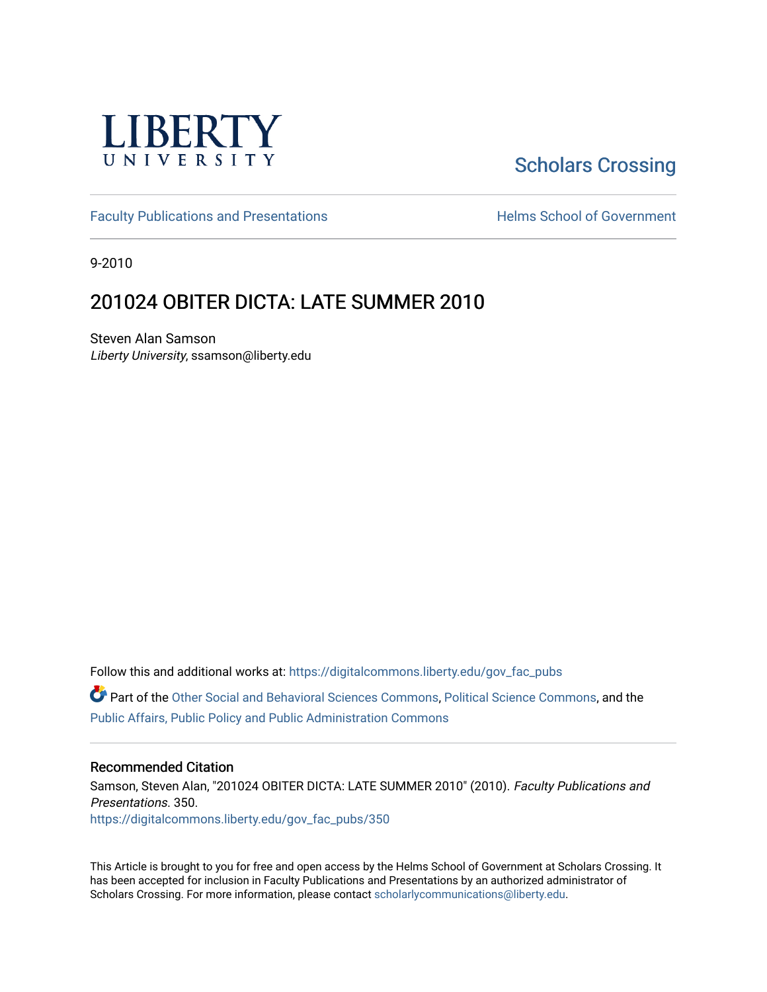

# [Scholars Crossing](https://digitalcommons.liberty.edu/)

[Faculty Publications and Presentations](https://digitalcommons.liberty.edu/gov_fac_pubs) **Exercise School of Government** 

9-2010

## 201024 OBITER DICTA: LATE SUMMER 2010

Steven Alan Samson Liberty University, ssamson@liberty.edu

Follow this and additional works at: [https://digitalcommons.liberty.edu/gov\\_fac\\_pubs](https://digitalcommons.liberty.edu/gov_fac_pubs?utm_source=digitalcommons.liberty.edu%2Fgov_fac_pubs%2F350&utm_medium=PDF&utm_campaign=PDFCoverPages)

Part of the [Other Social and Behavioral Sciences Commons](http://network.bepress.com/hgg/discipline/437?utm_source=digitalcommons.liberty.edu%2Fgov_fac_pubs%2F350&utm_medium=PDF&utm_campaign=PDFCoverPages), [Political Science Commons](http://network.bepress.com/hgg/discipline/386?utm_source=digitalcommons.liberty.edu%2Fgov_fac_pubs%2F350&utm_medium=PDF&utm_campaign=PDFCoverPages), and the [Public Affairs, Public Policy and Public Administration Commons](http://network.bepress.com/hgg/discipline/393?utm_source=digitalcommons.liberty.edu%2Fgov_fac_pubs%2F350&utm_medium=PDF&utm_campaign=PDFCoverPages)

#### Recommended Citation

Samson, Steven Alan, "201024 OBITER DICTA: LATE SUMMER 2010" (2010). Faculty Publications and Presentations. 350. [https://digitalcommons.liberty.edu/gov\\_fac\\_pubs/350](https://digitalcommons.liberty.edu/gov_fac_pubs/350?utm_source=digitalcommons.liberty.edu%2Fgov_fac_pubs%2F350&utm_medium=PDF&utm_campaign=PDFCoverPages)

This Article is brought to you for free and open access by the Helms School of Government at Scholars Crossing. It has been accepted for inclusion in Faculty Publications and Presentations by an authorized administrator of Scholars Crossing. For more information, please contact [scholarlycommunications@liberty.edu.](mailto:scholarlycommunications@liberty.edu)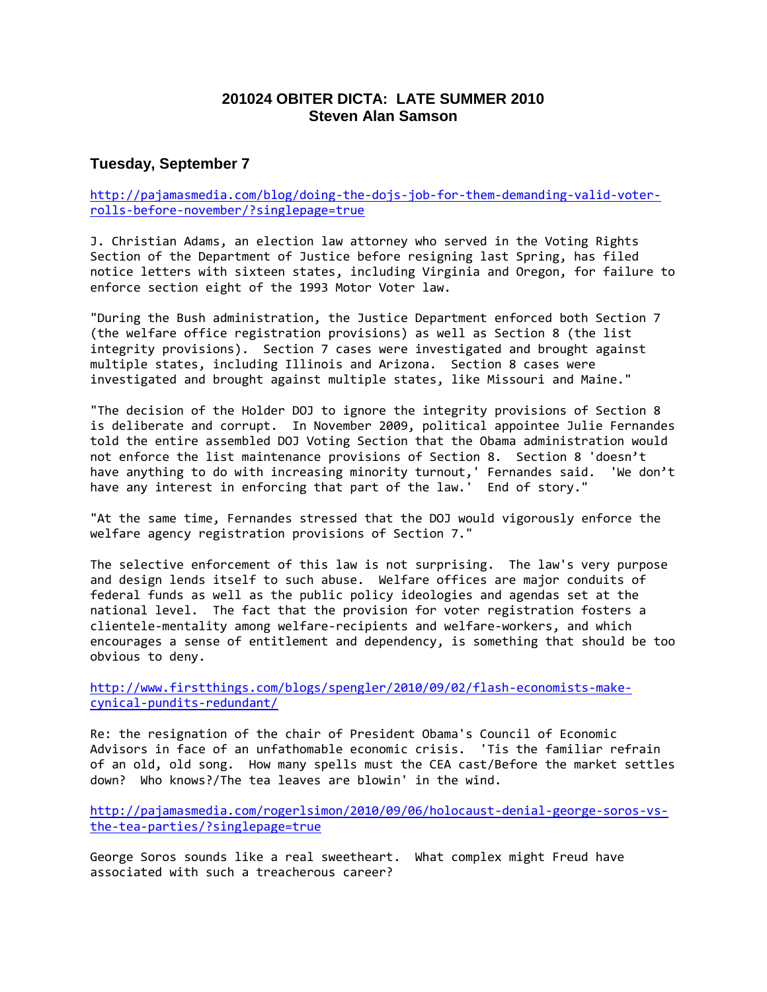## **201024 OBITER DICTA: LATE SUMMER 2010 Steven Alan Samson**

## **Tuesday, September 7**

[http://pajamasmedia.com/blog/doing-the-dojs-job-for-them-demanding-valid-voter](http://pajamasmedia.com/blog/doing-the-dojs-job-for-them-demanding-valid-voter-rolls-before-november/?singlepage=true)[rolls-before-november/?singlepage=true](http://pajamasmedia.com/blog/doing-the-dojs-job-for-them-demanding-valid-voter-rolls-before-november/?singlepage=true)

J. Christian Adams, an election law attorney who served in the Voting Rights Section of the Department of Justice before resigning last Spring, has filed notice letters with sixteen states, including Virginia and Oregon, for failure to enforce section eight of the 1993 Motor Voter law.

"During the Bush administration, the Justice Department enforced both Section 7 (the welfare office registration provisions) as well as Section 8 (the list integrity provisions). Section 7 cases were investigated and brought against multiple states, including Illinois and Arizona. Section 8 cases were investigated and brought against multiple states, like Missouri and Maine."

"The decision of the Holder DOJ to ignore the integrity provisions of Section 8 is deliberate and corrupt. In November 2009, political appointee Julie Fernandes told the entire assembled DOJ Voting Section that the Obama administration would not enforce the list maintenance provisions of Section 8. Section 8 'doesn't have anything to do with increasing minority turnout,' Fernandes said. 'We don't have any interest in enforcing that part of the law.' End of story."

"At the same time, Fernandes stressed that the DOJ would vigorously enforce the welfare agency registration provisions of Section 7."

The selective enforcement of this law is not surprising. The law's very purpose and design lends itself to such abuse. Welfare offices are major conduits of federal funds as well as the public policy ideologies and agendas set at the national level. The fact that the provision for voter registration fosters a clientele-mentality among welfare-recipients and welfare-workers, and which encourages a sense of entitlement and dependency, is something that should be too obvious to deny.

[http://www.firstthings.com/blogs/spengler/2010/09/02/flash-economists-make](http://www.firstthings.com/blogs/spengler/2010/09/02/flash-economists-make-cynical-pundits-redundant/)[cynical-pundits-redundant/](http://www.firstthings.com/blogs/spengler/2010/09/02/flash-economists-make-cynical-pundits-redundant/)

Re: the resignation of the chair of President Obama's Council of Economic Advisors in face of an unfathomable economic crisis. 'Tis the familiar refrain of an old, old song. How many spells must the CEA cast/Before the market settles down? Who knows?/The tea leaves are blowin' in the wind.

[http://pajamasmedia.com/rogerlsimon/2010/09/06/holocaust-denial-george-soros-vs](http://pajamasmedia.com/rogerlsimon/2010/09/06/holocaust-denial-george-soros-vs-the-tea-parties/?singlepage=true)[the-tea-parties/?singlepage=true](http://pajamasmedia.com/rogerlsimon/2010/09/06/holocaust-denial-george-soros-vs-the-tea-parties/?singlepage=true)

George Soros sounds like a real sweetheart. What complex might Freud have associated with such a treacherous career?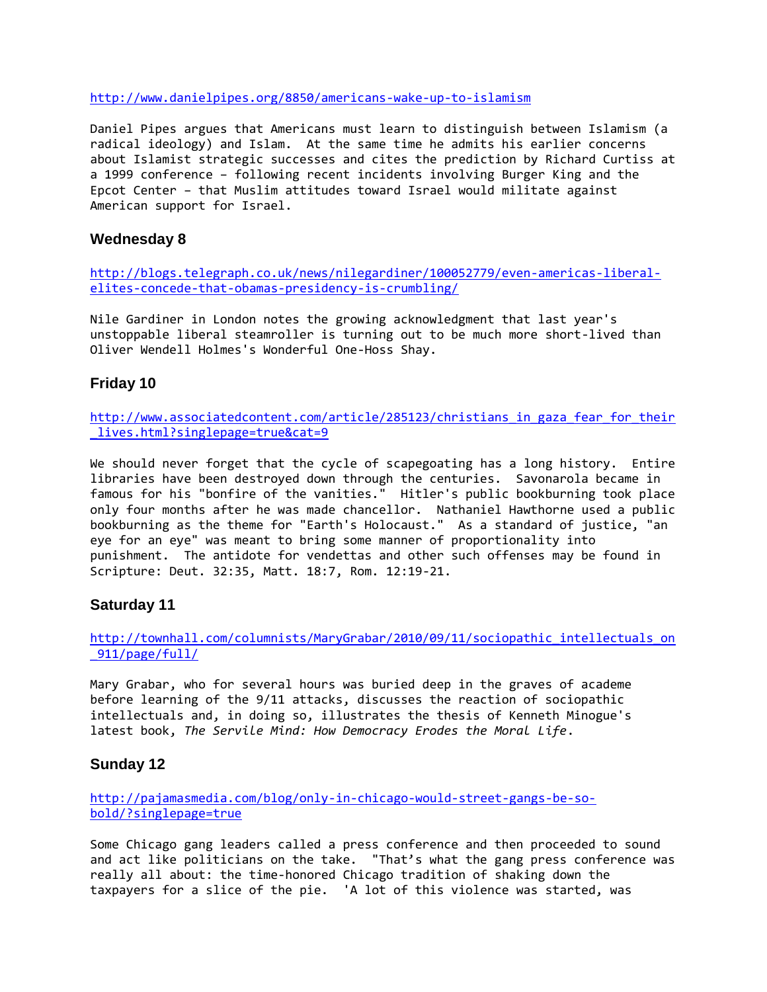<http://www.danielpipes.org/8850/americans-wake-up-to-islamism>

Daniel Pipes argues that Americans must learn to distinguish between Islamism (a radical ideology) and Islam. At the same time he admits his earlier concerns about Islamist strategic successes and cites the prediction by Richard Curtiss at a 1999 conference – following recent incidents involving Burger King and the Epcot Center – that Muslim attitudes toward Israel would militate against American support for Israel.

## **Wednesday 8**

[http://blogs.telegraph.co.uk/news/nilegardiner/100052779/even-americas-liberal](http://blogs.telegraph.co.uk/news/nilegardiner/100052779/even-americas-liberal-elites-concede-that-obamas-presidency-is-crumbling/)[elites-concede-that-obamas-presidency-is-crumbling/](http://blogs.telegraph.co.uk/news/nilegardiner/100052779/even-americas-liberal-elites-concede-that-obamas-presidency-is-crumbling/)

Nile Gardiner in London notes the growing acknowledgment that last year's unstoppable liberal steamroller is turning out to be much more short-lived than Oliver Wendell Holmes's Wonderful One-Hoss Shay.

## **Friday 10**

[http://www.associatedcontent.com/article/285123/christians\\_in\\_gaza\\_fear\\_for\\_their](http://www.associatedcontent.com/article/285123/christians_in_gaza_fear_for_their_lives.html?singlepage=true&cat=9) [\\_lives.html?singlepage=true&cat=9](http://www.associatedcontent.com/article/285123/christians_in_gaza_fear_for_their_lives.html?singlepage=true&cat=9)

We should never forget that the cycle of scapegoating has a long history. Entire libraries have been destroyed down through the centuries. Savonarola became in famous for his "bonfire of the vanities." Hitler's public bookburning took place only four months after he was made chancellor. Nathaniel Hawthorne used a public bookburning as the theme for "Earth's Holocaust." As a standard of justice, "an eye for an eye" was meant to bring some manner of proportionality into punishment. The antidote for vendettas and other such offenses may be found in Scripture: Deut. 32:35, Matt. 18:7, Rom. 12:19-21.

## **Saturday 11**

[http://townhall.com/columnists/MaryGrabar/2010/09/11/sociopathic\\_intellectuals\\_on](http://townhall.com/columnists/MaryGrabar/2010/09/11/sociopathic_intellectuals_on_911/page/full/) [\\_911/page/full/](http://townhall.com/columnists/MaryGrabar/2010/09/11/sociopathic_intellectuals_on_911/page/full/)

Mary Grabar, who for several hours was buried deep in the graves of academe before learning of the 9/11 attacks, discusses the reaction of sociopathic intellectuals and, in doing so, illustrates the thesis of Kenneth Minogue's latest book, *The Servile Mind: How Democracy Erodes the Moral Life*.

## **Sunday 12**

[http://pajamasmedia.com/blog/only-in-chicago-would-street-gangs-be-so](http://pajamasmedia.com/blog/only-in-chicago-would-street-gangs-be-so-bold/?singlepage=true)[bold/?singlepage=true](http://pajamasmedia.com/blog/only-in-chicago-would-street-gangs-be-so-bold/?singlepage=true)

Some Chicago gang leaders called a press conference and then proceeded to sound and act like politicians on the take. "That's what the gang press conference was really all about: the time-honored Chicago tradition of shaking down the taxpayers for a slice of the pie. 'A lot of this violence was started, was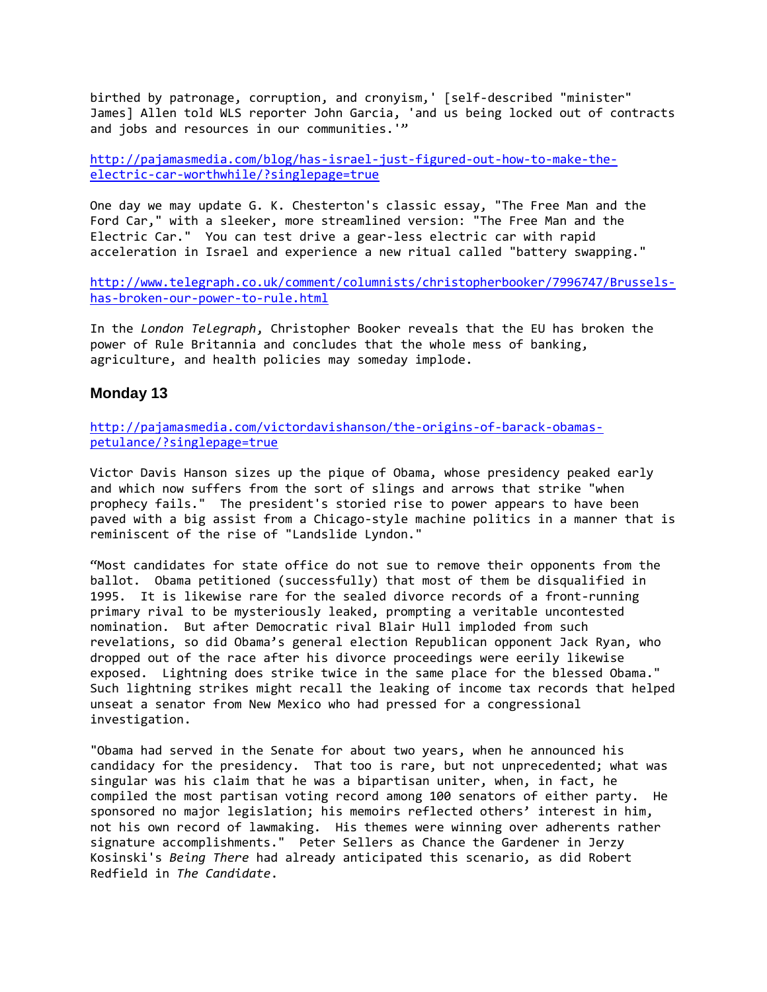birthed by patronage, corruption, and cronyism,' [self-described "minister" James] Allen told WLS reporter John Garcia, 'and us being locked out of contracts and jobs and resources in our communities.'"

[http://pajamasmedia.com/blog/has-israel-just-figured-out-how-to-make-the](http://pajamasmedia.com/blog/has-israel-just-figured-out-how-to-make-the-electric-car-worthwhile/?singlepage=true)[electric-car-worthwhile/?singlepage=true](http://pajamasmedia.com/blog/has-israel-just-figured-out-how-to-make-the-electric-car-worthwhile/?singlepage=true)

One day we may update G. K. Chesterton's classic essay, "The Free Man and the Ford Car," with a sleeker, more streamlined version: "The Free Man and the Electric Car." You can test drive a gear-less electric car with rapid acceleration in Israel and experience a new ritual called "battery swapping."

[http://www.telegraph.co.uk/comment/columnists/christopherbooker/7996747/Brussels](http://www.telegraph.co.uk/comment/columnists/christopherbooker/7996747/Brussels-has-broken-our-power-to-rule.html)[has-broken-our-power-to-rule.html](http://www.telegraph.co.uk/comment/columnists/christopherbooker/7996747/Brussels-has-broken-our-power-to-rule.html)

In the *London Telegraph*, Christopher Booker reveals that the EU has broken the power of Rule Britannia and concludes that the whole mess of banking, agriculture, and health policies may someday implode.

#### **Monday 13**

[http://pajamasmedia.com/victordavishanson/the-origins-of-barack-obamas](http://pajamasmedia.com/victordavishanson/the-origins-of-barack-obamas-petulance/?singlepage=true)[petulance/?singlepage=true](http://pajamasmedia.com/victordavishanson/the-origins-of-barack-obamas-petulance/?singlepage=true)

Victor Davis Hanson sizes up the pique of Obama, whose presidency peaked early and which now suffers from the sort of slings and arrows that strike "when prophecy fails." The president's storied rise to power appears to have been paved with a big assist from a Chicago-style machine politics in a manner that is reminiscent of the rise of "Landslide Lyndon."

"Most candidates for state office do not sue to remove their opponents from the ballot. Obama petitioned (successfully) that most of them be disqualified in 1995. It is likewise rare for the sealed divorce records of a front-running primary rival to be mysteriously leaked, prompting a veritable uncontested nomination. But after Democratic rival Blair Hull imploded from such revelations, so did Obama's general election Republican opponent Jack Ryan, who dropped out of the race after his divorce proceedings were eerily likewise exposed. Lightning does strike twice in the same place for the blessed Obama." Such lightning strikes might recall the leaking of income tax records that helped unseat a senator from New Mexico who had pressed for a congressional investigation.

"Obama had served in the Senate for about two years, when he announced his candidacy for the presidency. That too is rare, but not unprecedented; what was singular was his claim that he was a bipartisan uniter, when, in fact, he compiled the most partisan voting record among 100 senators of either party. He sponsored no major legislation; his memoirs reflected others' interest in him, not his own record of lawmaking. His themes were winning over adherents rather signature accomplishments." Peter Sellers as Chance the Gardener in Jerzy Kosinski's *Being There* had already anticipated this scenario, as did Robert Redfield in *The Candidate*.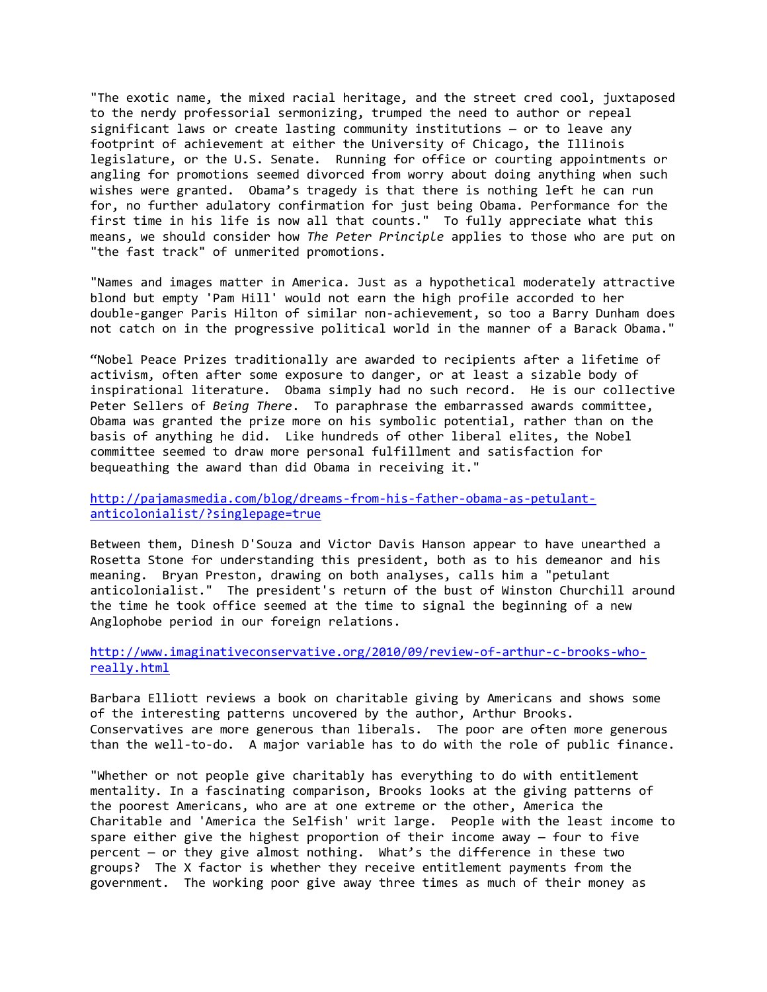"The exotic name, the mixed racial heritage, and the street cred cool, juxtaposed to the nerdy professorial sermonizing, trumped the need to author or repeal significant laws or create lasting community institutions — or to leave any footprint of achievement at either the University of Chicago, the Illinois legislature, or the U.S. Senate. Running for office or courting appointments or angling for promotions seemed divorced from worry about doing anything when such wishes were granted. Obama's tragedy is that there is nothing left he can run for, no further adulatory confirmation for just being Obama. Performance for the first time in his life is now all that counts." To fully appreciate what this means, we should consider how *The Peter Principle* applies to those who are put on "the fast track" of unmerited promotions.

"Names and images matter in America. Just as a hypothetical moderately attractive blond but empty 'Pam Hill' would not earn the high profile accorded to her double-ganger Paris Hilton of similar non-achievement, so too a Barry Dunham does not catch on in the progressive political world in the manner of a Barack Obama."

"Nobel Peace Prizes traditionally are awarded to recipients after a lifetime of activism, often after some exposure to danger, or at least a sizable body of inspirational literature. Obama simply had no such record. He is our collective Peter Sellers of *Being There*. To paraphrase the embarrassed awards committee, Obama was granted the prize more on his symbolic potential, rather than on the basis of anything he did. Like hundreds of other liberal elites, the Nobel committee seemed to draw more personal fulfillment and satisfaction for bequeathing the award than did Obama in receiving it."

[http://pajamasmedia.com/blog/dreams-from-his-father-obama-as-petulant](http://pajamasmedia.com/blog/dreams-from-his-father-obama-as-petulant-anticolonialist/?singlepage=true)[anticolonialist/?singlepage=true](http://pajamasmedia.com/blog/dreams-from-his-father-obama-as-petulant-anticolonialist/?singlepage=true)

Between them, Dinesh D'Souza and Victor Davis Hanson appear to have unearthed a Rosetta Stone for understanding this president, both as to his demeanor and his meaning. Bryan Preston, drawing on both analyses, calls him a "petulant anticolonialist." The president's return of the bust of Winston Churchill around the time he took office seemed at the time to signal the beginning of a new Anglophobe period in our foreign relations.

#### [http://www.imaginativeconservative.org/2010/09/review-of-arthur-c-brooks-who](http://www.imaginativeconservative.org/2010/09/review-of-arthur-c-brooks-who-really.html)[really.html](http://www.imaginativeconservative.org/2010/09/review-of-arthur-c-brooks-who-really.html)

Barbara Elliott reviews a book on charitable giving by Americans and shows some of the interesting patterns uncovered by the author, Arthur Brooks. Conservatives are more generous than liberals. The poor are often more generous than the well-to-do. A major variable has to do with the role of public finance.

"Whether or not people give charitably has everything to do with entitlement mentality. In a fascinating comparison, Brooks looks at the giving patterns of the poorest Americans, who are at one extreme or the other, America the Charitable and 'America the Selfish' writ large. People with the least income to spare either give the highest proportion of their income away — four to five percent — or they give almost nothing. What's the difference in these two groups? The X factor is whether they receive entitlement payments from the government. The working poor give away three times as much of their money as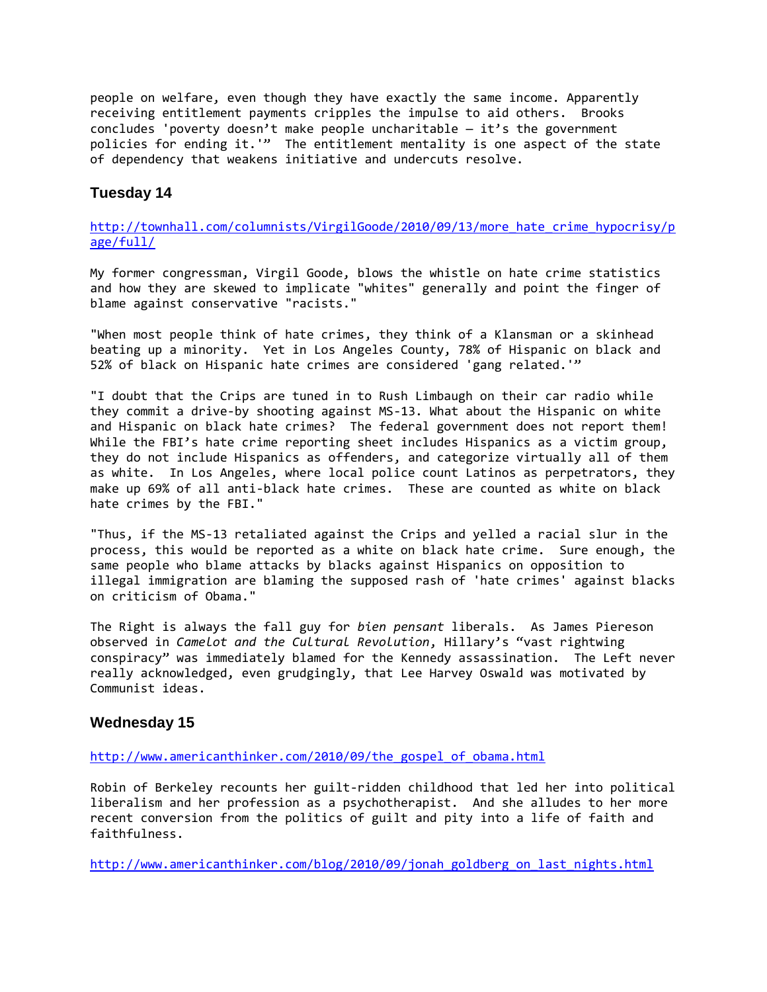people on welfare, even though they have exactly the same income. Apparently receiving entitlement payments cripples the impulse to aid others. Brooks concludes 'poverty doesn't make people uncharitable  $-$  it's the government policies for ending it.'" The entitlement mentality is one aspect of the state of dependency that weakens initiative and undercuts resolve.

## **Tuesday 14**

http://townhall.com/columnists/VirgilGoode/2010/09/13/more hate crime hypocrisy/p [age/full/](http://townhall.com/columnists/VirgilGoode/2010/09/13/more_hate_crime_hypocrisy/page/full/)

My former congressman, Virgil Goode, blows the whistle on hate crime statistics and how they are skewed to implicate "whites" generally and point the finger of blame against conservative "racists."

"When most people think of hate crimes, they think of a Klansman or a skinhead beating up a minority. Yet in Los Angeles County, 78% of Hispanic on black and 52% of black on Hispanic hate crimes are considered 'gang related.'"

"I doubt that the Crips are tuned in to Rush Limbaugh on their car radio while they commit a drive-by shooting against MS-13. What about the Hispanic on white and Hispanic on black hate crimes? The federal government does not report them! While the FBI's hate crime reporting sheet includes Hispanics as a victim group, they do not include Hispanics as offenders, and categorize virtually all of them as white. In Los Angeles, where local police count Latinos as perpetrators, they make up 69% of all anti-black hate crimes. These are counted as white on black hate crimes by the FBI."

"Thus, if the MS-13 retaliated against the Crips and yelled a racial slur in the process, this would be reported as a white on black hate crime. Sure enough, the same people who blame attacks by blacks against Hispanics on opposition to illegal immigration are blaming the supposed rash of 'hate crimes' against blacks on criticism of Obama."

The Right is always the fall guy for *bien pensant* liberals. As James Piereson observed in *Camelot and the Cultural Revolution*, Hillary's "vast rightwing conspiracy" was immediately blamed for the Kennedy assassination. The Left never really acknowledged, even grudgingly, that Lee Harvey Oswald was motivated by Communist ideas.

## **Wednesday 15**

#### [http://www.americanthinker.com/2010/09/the\\_gospel\\_of\\_obama.html](http://www.americanthinker.com/2010/09/the_gospel_of_obama.html)

Robin of Berkeley recounts her guilt-ridden childhood that led her into political liberalism and her profession as a psychotherapist. And she alludes to her more recent conversion from the politics of guilt and pity into a life of faith and faithfulness.

[http://www.americanthinker.com/blog/2010/09/jonah\\_goldberg\\_on\\_last\\_nights.html](http://www.americanthinker.com/blog/2010/09/jonah_goldberg_on_last_nights.html)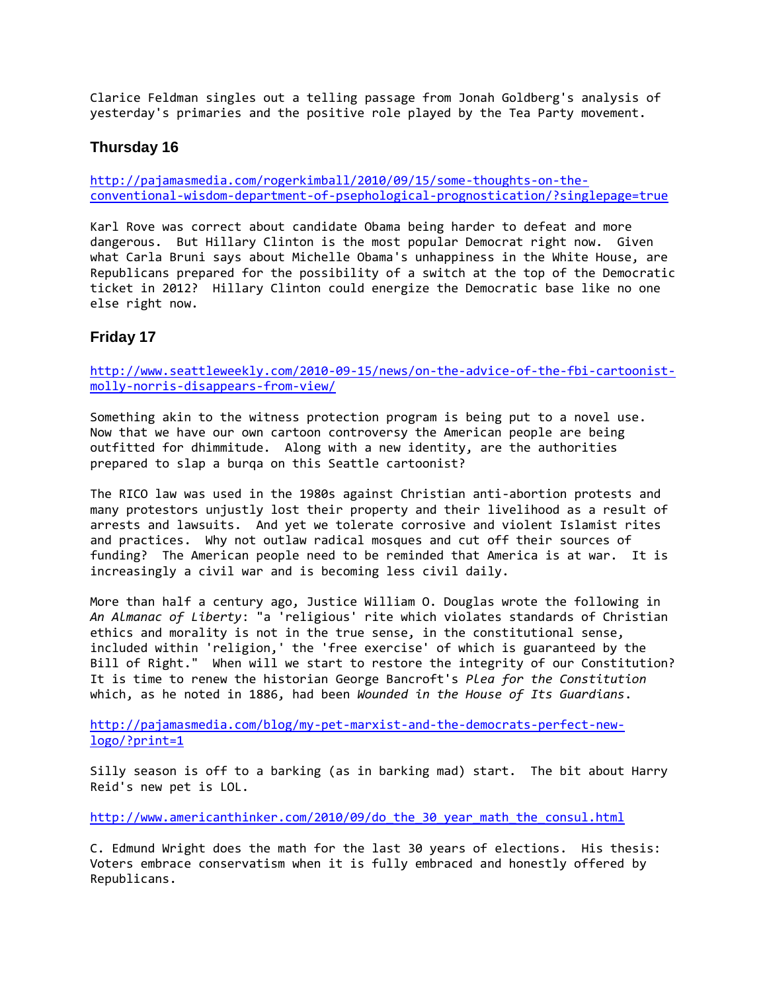Clarice Feldman singles out a telling passage from Jonah Goldberg's analysis of yesterday's primaries and the positive role played by the Tea Party movement.

## **Thursday 16**

[http://pajamasmedia.com/rogerkimball/2010/09/15/some-thoughts-on-the](http://pajamasmedia.com/rogerkimball/2010/09/15/some-thoughts-on-the-conventional-wisdom-department-of-psephological-prognostication/?singlepage=true)[conventional-wisdom-department-of-psephological-prognostication/?singlepage=true](http://pajamasmedia.com/rogerkimball/2010/09/15/some-thoughts-on-the-conventional-wisdom-department-of-psephological-prognostication/?singlepage=true)

Karl Rove was correct about candidate Obama being harder to defeat and more dangerous. But Hillary Clinton is the most popular Democrat right now. Given what Carla Bruni says about Michelle Obama's unhappiness in the White House, are Republicans prepared for the possibility of a switch at the top of the Democratic ticket in 2012? Hillary Clinton could energize the Democratic base like no one else right now.

## **Friday 17**

[http://www.seattleweekly.com/2010-09-15/news/on-the-advice-of-the-fbi-cartoonist](http://www.seattleweekly.com/2010-09-15/news/on-the-advice-of-the-fbi-cartoonist-molly-norris-disappears-from-view/)[molly-norris-disappears-from-view/](http://www.seattleweekly.com/2010-09-15/news/on-the-advice-of-the-fbi-cartoonist-molly-norris-disappears-from-view/)

Something akin to the witness protection program is being put to a novel use. Now that we have our own cartoon controversy the American people are being outfitted for dhimmitude. Along with a new identity, are the authorities prepared to slap a burqa on this Seattle cartoonist?

The RICO law was used in the 1980s against Christian anti-abortion protests and many protestors unjustly lost their property and their livelihood as a result of arrests and lawsuits. And yet we tolerate corrosive and violent Islamist rites and practices. Why not outlaw radical mosques and cut off their sources of funding? The American people need to be reminded that America is at war. It is increasingly a civil war and is becoming less civil daily.

More than half a century ago, Justice William O. Douglas wrote the following in *An Almanac of Liberty*: "a 'religious' rite which violates standards of Christian ethics and morality is not in the true sense, in the constitutional sense, included within 'religion,' the 'free exercise' of which is guaranteed by the Bill of Right." When will we start to restore the integrity of our Constitution? It is time to renew the historian George Bancroft's *Plea for the Constitution* which, as he noted in 1886, had been *Wounded in the House of Its Guardians*.

[http://pajamasmedia.com/blog/my-pet-marxist-and-the-democrats-perfect-new](http://pajamasmedia.com/blog/my-pet-marxist-and-the-democrats-perfect-new-logo/?print=1)[logo/?print=1](http://pajamasmedia.com/blog/my-pet-marxist-and-the-democrats-perfect-new-logo/?print=1)

Silly season is off to a barking (as in barking mad) start. The bit about Harry Reid's new pet is LOL.

[http://www.americanthinker.com/2010/09/do\\_the\\_30\\_year\\_math\\_the\\_consul.html](http://www.americanthinker.com/2010/09/do_the_30_year_math_the_consul.html)

C. Edmund Wright does the math for the last 30 years of elections. His thesis: Voters embrace conservatism when it is fully embraced and honestly offered by Republicans.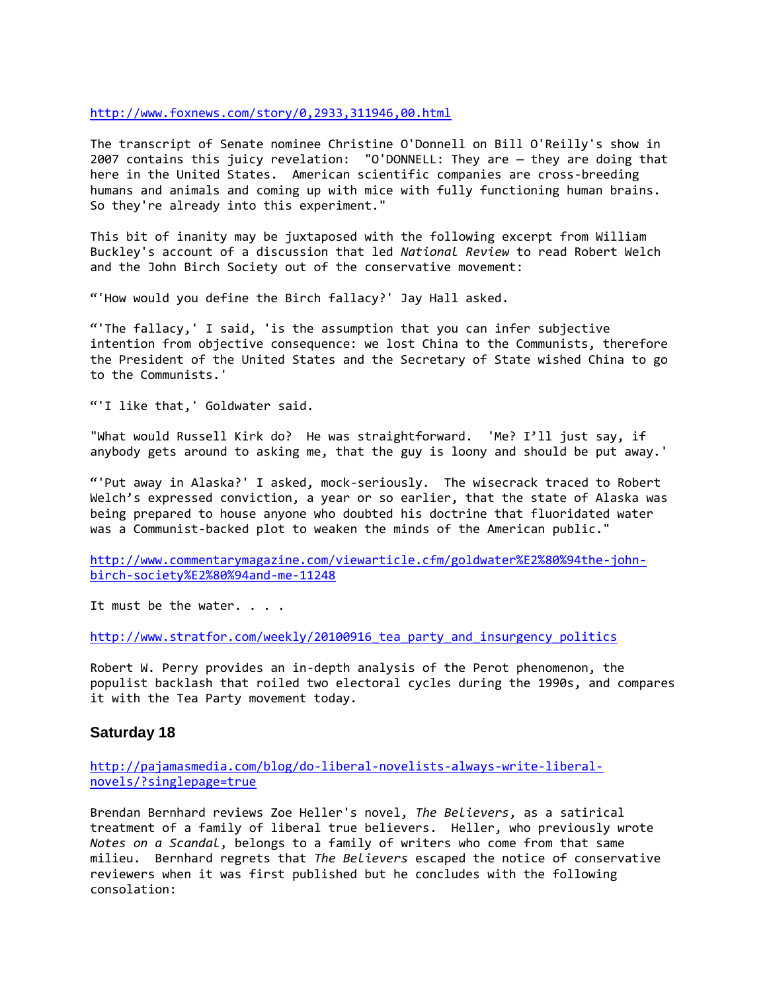#### <http://www.foxnews.com/story/0,2933,311946,00.html>

The transcript of Senate nominee Christine O'Donnell on Bill O'Reilly's show in 2007 contains this juicy revelation: "O'DONNELL: They are — they are doing that here in the United States. American scientific companies are cross-breeding humans and animals and coming up with mice with fully functioning human brains. So they're already into this experiment."

This bit of inanity may be juxtaposed with the following excerpt from William Buckley's account of a discussion that led *National Review* to read Robert Welch and the John Birch Society out of the conservative movement:

"'How would you define the Birch fallacy?' Jay Hall asked.

"'The fallacy,' I said, 'is the assumption that you can infer subjective intention from objective consequence: we lost China to the Communists, therefore the President of the United States and the Secretary of State wished China to go to the Communists.'

"'I like that,' Goldwater said.

"What would Russell Kirk do? He was straightforward. 'Me? I'll just say, if anybody gets around to asking me, that the guy is loony and should be put away.'

"'Put away in Alaska?' I asked, mock-seriously. The wisecrack traced to Robert Welch's expressed conviction, a year or so earlier, that the state of Alaska was being prepared to house anyone who doubted his doctrine that fluoridated water was a Communist-backed plot to weaken the minds of the American public."

[http://www.commentarymagazine.com/viewarticle.cfm/goldwater%E2%80%94the-john](http://www.commentarymagazine.com/viewarticle.cfm/goldwater%E2%80%94the-john-birch-society%E2%80%94and-me-11248)[birch-society%E2%80%94and-me-11248](http://www.commentarymagazine.com/viewarticle.cfm/goldwater%E2%80%94the-john-birch-society%E2%80%94and-me-11248)

It must be the water. . . .

http://www.stratfor.com/weekly/20100916 tea party and insurgency politics

Robert W. Perry provides an in-depth analysis of the Perot phenomenon, the populist backlash that roiled two electoral cycles during the 1990s, and compares it with the Tea Party movement today.

## **Saturday 18**

[http://pajamasmedia.com/blog/do-liberal-novelists-always-write-liberal](http://pajamasmedia.com/blog/do-liberal-novelists-always-write-liberal-novels/?singlepage=true)[novels/?singlepage=true](http://pajamasmedia.com/blog/do-liberal-novelists-always-write-liberal-novels/?singlepage=true)

Brendan Bernhard reviews Zoe Heller's novel, *The Believers*, as a satirical treatment of a family of liberal true believers. Heller, who previously wrote *Notes on a Scandal*, belongs to a family of writers who come from that same milieu. Bernhard regrets that *The Believers* escaped the notice of conservative reviewers when it was first published but he concludes with the following consolation: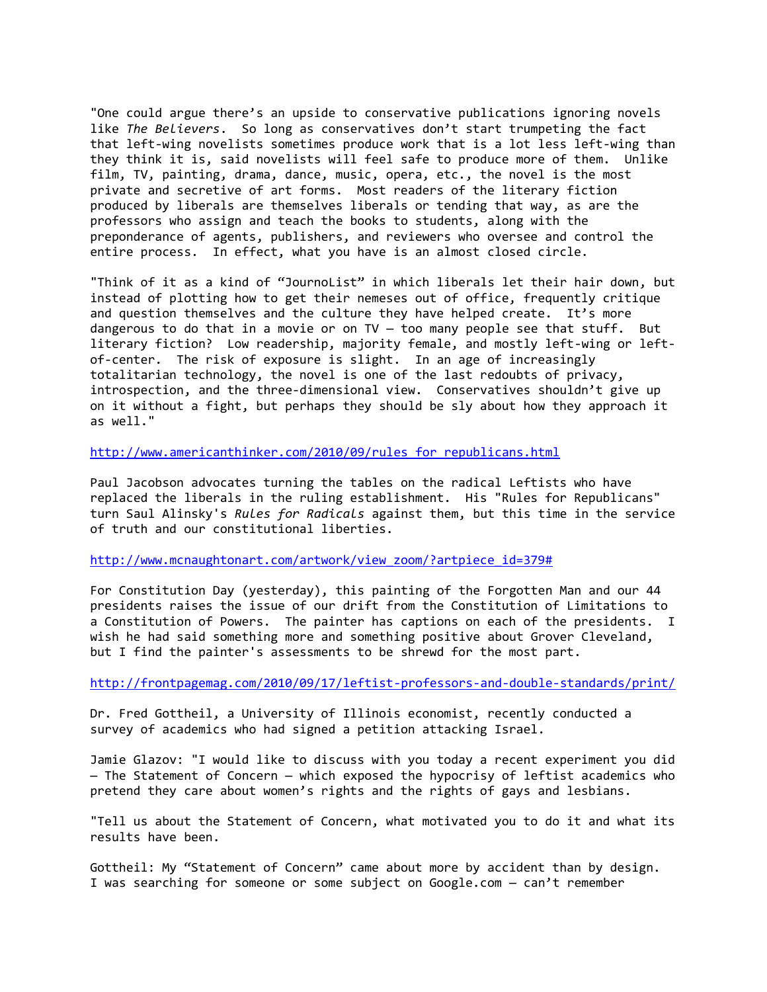"One could argue there's an upside to conservative publications ignoring novels like *The Believers*. So long as conservatives don't start trumpeting the fact that left-wing novelists sometimes produce work that is a lot less left-wing than they think it is, said novelists will feel safe to produce more of them. Unlike film, TV, painting, drama, dance, music, opera, etc., the novel is the most private and secretive of art forms. Most readers of the literary fiction produced by liberals are themselves liberals or tending that way, as are the professors who assign and teach the books to students, along with the preponderance of agents, publishers, and reviewers who oversee and control the entire process. In effect, what you have is an almost closed circle.

"Think of it as a kind of "JournoList" in which liberals let their hair down, but instead of plotting how to get their nemeses out of office, frequently critique and question themselves and the culture they have helped create. It's more dangerous to do that in a movie or on TV — too many people see that stuff. But literary fiction? Low readership, majority female, and mostly left-wing or leftof-center. The risk of exposure is slight. In an age of increasingly totalitarian technology, the novel is one of the last redoubts of privacy, introspection, and the three-dimensional view. Conservatives shouldn't give up on it without a fight, but perhaps they should be sly about how they approach it as well."

[http://www.americanthinker.com/2010/09/rules\\_for\\_republicans.html](http://www.americanthinker.com/2010/09/rules_for_republicans.html)

Paul Jacobson advocates turning the tables on the radical Leftists who have replaced the liberals in the ruling establishment. His "Rules for Republicans" turn Saul Alinsky's *Rules for Radicals* against them, but this time in the service of truth and our constitutional liberties.

[http://www.mcnaughtonart.com/artwork/view\\_zoom/?artpiece\\_id=379#](http://www.mcnaughtonart.com/artwork/view_zoom/?artpiece_id=379)

For Constitution Day (yesterday), this painting of the Forgotten Man and our 44 presidents raises the issue of our drift from the Constitution of Limitations to a Constitution of Powers. The painter has captions on each of the presidents. I wish he had said something more and something positive about Grover Cleveland, but I find the painter's assessments to be shrewd for the most part.

<http://frontpagemag.com/2010/09/17/leftist-professors-and-double-standards/print/>

Dr. Fred Gottheil, a University of Illinois economist, recently conducted a survey of academics who had signed a petition attacking Israel.

Jamie Glazov: "I would like to discuss with you today a recent experiment you did — The Statement of Concern — which exposed the hypocrisy of leftist academics who pretend they care about women's rights and the rights of gays and lesbians.

"Tell us about the Statement of Concern, what motivated you to do it and what its results have been.

Gottheil: My "Statement of Concern" came about more by accident than by design. I was searching for someone or some subject on Google.com — can't remember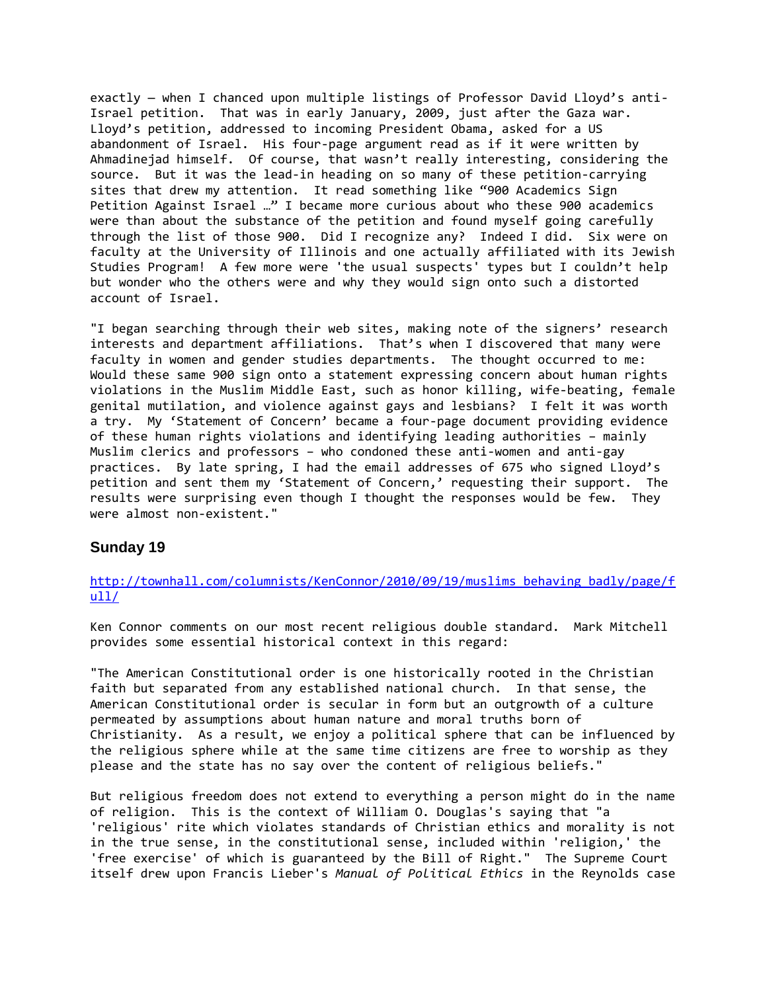exactly — when I chanced upon multiple listings of Professor David Lloyd's anti-Israel petition. That was in early January, 2009, just after the Gaza war. Lloyd's petition, addressed to incoming President Obama, asked for a US abandonment of Israel. His four-page argument read as if it were written by Ahmadinejad himself. Of course, that wasn't really interesting, considering the source. But it was the lead-in heading on so many of these petition-carrying sites that drew my attention. It read something like "900 Academics Sign Petition Against Israel …" I became more curious about who these 900 academics were than about the substance of the petition and found myself going carefully through the list of those 900. Did I recognize any? Indeed I did. Six were on faculty at the University of Illinois and one actually affiliated with its Jewish Studies Program! A few more were 'the usual suspects' types but I couldn't help but wonder who the others were and why they would sign onto such a distorted account of Israel.

"I began searching through their web sites, making note of the signers' research interests and department affiliations. That's when I discovered that many were faculty in women and gender studies departments. The thought occurred to me: Would these same 900 sign onto a statement expressing concern about human rights violations in the Muslim Middle East, such as honor killing, wife-beating, female genital mutilation, and violence against gays and lesbians? I felt it was worth a try. My 'Statement of Concern' became a four-page document providing evidence of these human rights violations and identifying leading authorities – mainly Muslim clerics and professors – who condoned these anti-women and anti-gay practices. By late spring, I had the email addresses of 675 who signed Lloyd's petition and sent them my 'Statement of Concern,' requesting their support. The results were surprising even though I thought the responses would be few. They were almost non-existent."

#### **Sunday 19**

## [http://townhall.com/columnists/KenConnor/2010/09/19/muslims\\_behaving\\_badly/page/f](http://townhall.com/columnists/KenConnor/2010/09/19/muslims_behaving_badly/page/full/)  $u11/$

Ken Connor comments on our most recent religious double standard. Mark Mitchell provides some essential historical context in this regard:

"The American Constitutional order is one historically rooted in the Christian faith but separated from any established national church. In that sense, the American Constitutional order is secular in form but an outgrowth of a culture permeated by assumptions about human nature and moral truths born of Christianity. As a result, we enjoy a political sphere that can be influenced by the religious sphere while at the same time citizens are free to worship as they please and the state has no say over the content of religious beliefs."

But religious freedom does not extend to everything a person might do in the name of religion. This is the context of William O. Douglas's saying that "a 'religious' rite which violates standards of Christian ethics and morality is not in the true sense, in the constitutional sense, included within 'religion,' the 'free exercise' of which is guaranteed by the Bill of Right." The Supreme Court itself drew upon Francis Lieber's *Manual of Political Ethics* in the Reynolds case